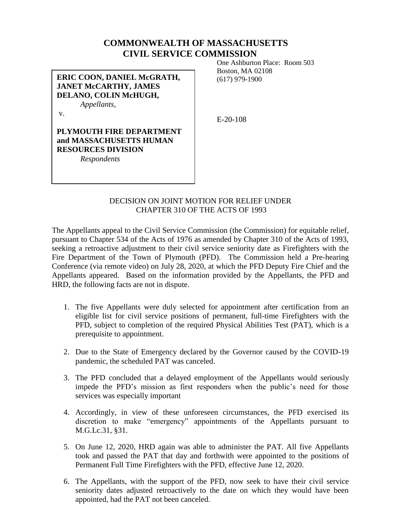## **COMMONWEALTH OF MASSACHUSETTS CIVIL SERVICE COMMISSION** One Ashburton Place: Room 503

**ERIC COON, DANIEL McGRATH, JANET McCARTHY, JAMES DELANO, COLIN McHUGH,** *Appellants,*

v.

E-20-108

Boston, MA 02108 (617) 979-1900

## **PLYMOUTH FIRE DEPARTMENT and MASSACHUSETTS HUMAN RESOURCES DIVISION**

*Respondents*

## DECISION ON JOINT MOTION FOR RELIEF UNDER CHAPTER 310 OF THE ACTS OF 1993

The Appellants appeal to the Civil Service Commission (the Commission) for equitable relief, pursuant to Chapter 534 of the Acts of 1976 as amended by Chapter 310 of the Acts of 1993, seeking a retroactive adjustment to their civil service seniority date as Firefighters with the Fire Department of the Town of Plymouth (PFD). The Commission held a Pre-hearing Conference (via remote video) on July 28, 2020, at which the PFD Deputy Fire Chief and the Appellants appeared. Based on the information provided by the Appellants, the PFD and HRD, the following facts are not in dispute.

- 1. The five Appellants were duly selected for appointment after certification from an eligible list for civil service positions of permanent, full-time Firefighters with the PFD, subject to completion of the required Physical Abilities Test (PAT), which is a prerequisite to appointment.
- 2. Due to the State of Emergency declared by the Governor caused by the COVID-19 pandemic, the scheduled PAT was canceled.
- 3. The PFD concluded that a delayed employment of the Appellants would seriously impede the PFD's mission as first responders when the public's need for those services was especially important
- 4. Accordingly, in view of these unforeseen circumstances, the PFD exercised its discretion to make "emergency" appointments of the Appellants pursuant to M.G.Lc.31, §31.
- 5. On June 12, 2020, HRD again was able to administer the PAT. All five Appellants took and passed the PAT that day and forthwith were appointed to the positions of Permanent Full Time Firefighters with the PFD, effective June 12, 2020.
- 6. The Appellants, with the support of the PFD, now seek to have their civil service seniority dates adjusted retroactively to the date on which they would have been appointed, had the PAT not been canceled.